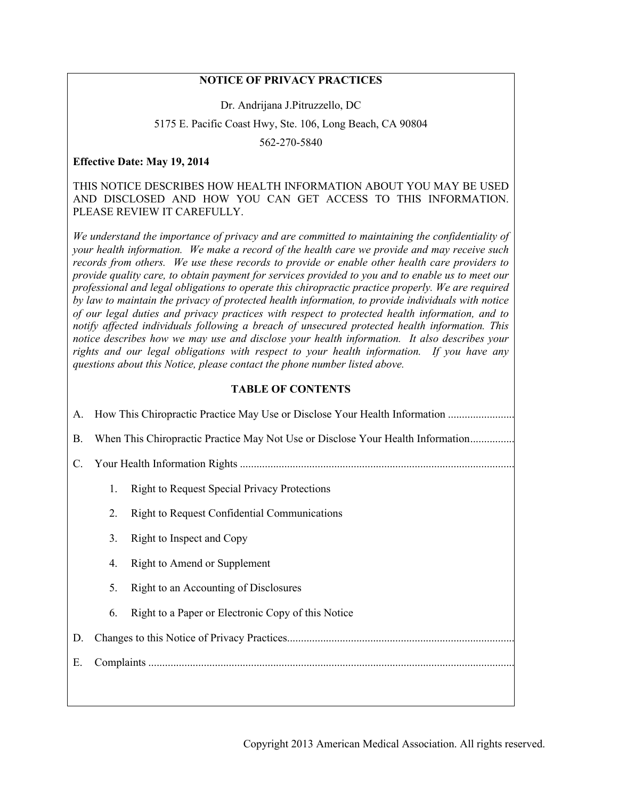## **NOTICE OF PRIVACY PRACTICES**

Dr. Andrijana J.Pitruzzello, DC

5175 E. Pacific Coast Hwy, Ste. 106, Long Beach, CA 90804

562-270-5840

### **Effective Date: May 19, 2014**

### THIS NOTICE DESCRIBES HOW HEALTH INFORMATION ABOUT YOU MAY BE USED AND DISCLOSED AND HOW YOU CAN GET ACCESS TO THIS INFORMATION. PLEASE REVIEW IT CAREFULLY.

*We understand the importance of privacy and are committed to maintaining the confidentiality of your health information. We make a record of the health care we provide and may receive such records from others. We use these records to provide or enable other health care providers to provide quality care, to obtain payment for services provided to you and to enable us to meet our professional and legal obligations to operate this chiropractic practice properly. We are required by law to maintain the privacy of protected health information, to provide individuals with notice of our legal duties and privacy practices with respect to protected health information, and to notify affected individuals following a breach of unsecured protected health information. This notice describes how we may use and disclose your health information. It also describes your rights and our legal obligations with respect to your health information. If you have any questions about this Notice, please contact the phone number listed above.*

### **TABLE OF CONTENTS**

| A.        | How This Chiropractic Practice May Use or Disclose Your Health Information      |                                                     |
|-----------|---------------------------------------------------------------------------------|-----------------------------------------------------|
| <b>B.</b> | When This Chiropractic Practice May Not Use or Disclose Your Health Information |                                                     |
| C.        |                                                                                 |                                                     |
|           | 1.                                                                              | <b>Right to Request Special Privacy Protections</b> |
|           | 2.                                                                              | <b>Right to Request Confidential Communications</b> |
|           | 3.                                                                              | Right to Inspect and Copy                           |
|           | 4.                                                                              | Right to Amend or Supplement                        |
|           | 5.                                                                              | Right to an Accounting of Disclosures               |
|           | 6.                                                                              | Right to a Paper or Electronic Copy of this Notice  |
| D.        |                                                                                 |                                                     |
| Ε.        |                                                                                 |                                                     |
|           |                                                                                 |                                                     |
|           |                                                                                 |                                                     |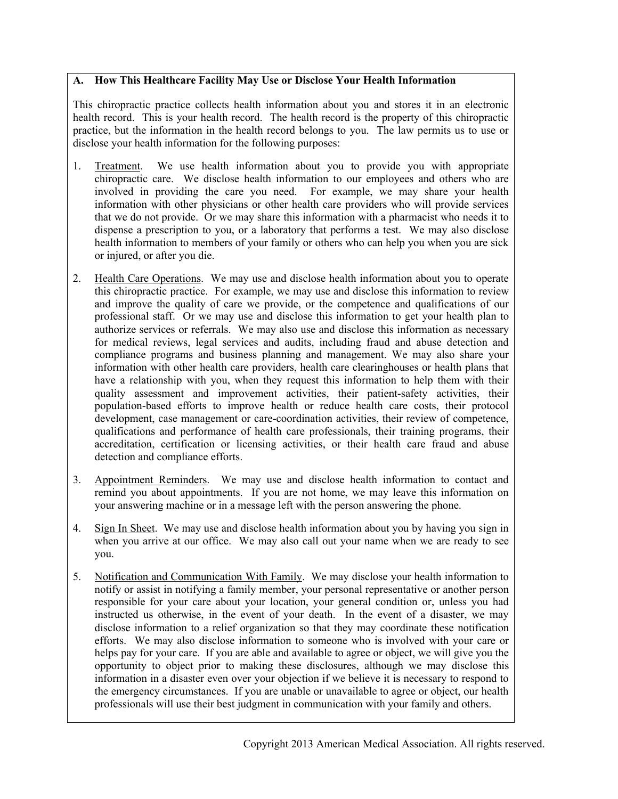## **A. How This Healthcare Facility May Use or Disclose Your Health Information**

This chiropractic practice collects health information about you and stores it in an electronic health record. This is your health record. The health record is the property of this chiropractic practice, but the information in the health record belongs to you. The law permits us to use or disclose your health information for the following purposes:

- 1. Treatment. We use health information about you to provide you with appropriate chiropractic care. We disclose health information to our employees and others who are involved in providing the care you need. For example, we may share your health information with other physicians or other health care providers who will provide services that we do not provide. Or we may share this information with a pharmacist who needs it to dispense a prescription to you, or a laboratory that performs a test. We may also disclose health information to members of your family or others who can help you when you are sick or injured, or after you die.
- 2. Health Care Operations. We may use and disclose health information about you to operate this chiropractic practice. For example, we may use and disclose this information to review and improve the quality of care we provide, or the competence and qualifications of our professional staff. Or we may use and disclose this information to get your health plan to authorize services or referrals. We may also use and disclose this information as necessary for medical reviews, legal services and audits, including fraud and abuse detection and compliance programs and business planning and management. We may also share your information with other health care providers, health care clearinghouses or health plans that have a relationship with you, when they request this information to help them with their quality assessment and improvement activities, their patient-safety activities, their population-based efforts to improve health or reduce health care costs, their protocol development, case management or care-coordination activities, their review of competence, qualifications and performance of health care professionals, their training programs, their accreditation, certification or licensing activities, or their health care fraud and abuse detection and compliance efforts.
- 3. Appointment Reminders. We may use and disclose health information to contact and remind you about appointments. If you are not home, we may leave this information on your answering machine or in a message left with the person answering the phone.
- 4. Sign In Sheet. We may use and disclose health information about you by having you sign in when you arrive at our office. We may also call out your name when we are ready to see you.
- 5. Notification and Communication With Family. We may disclose your health information to notify or assist in notifying a family member, your personal representative or another person responsible for your care about your location, your general condition or, unless you had instructed us otherwise, in the event of your death. In the event of a disaster, we may disclose information to a relief organization so that they may coordinate these notification efforts. We may also disclose information to someone who is involved with your care or helps pay for your care. If you are able and available to agree or object, we will give you the opportunity to object prior to making these disclosures, although we may disclose this information in a disaster even over your objection if we believe it is necessary to respond to the emergency circumstances. If you are unable or unavailable to agree or object, our health professionals will use their best judgment in communication with your family and others.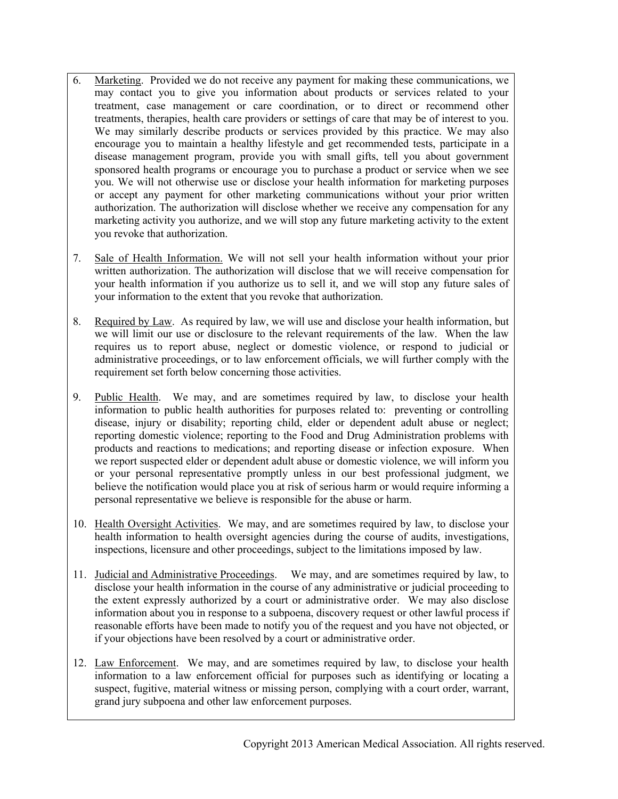- 6. Marketing. Provided we do not receive any payment for making these communications, we may contact you to give you information about products or services related to your treatment, case management or care coordination, or to direct or recommend other treatments, therapies, health care providers or settings of care that may be of interest to you. We may similarly describe products or services provided by this practice. We may also encourage you to maintain a healthy lifestyle and get recommended tests, participate in a disease management program, provide you with small gifts, tell you about government sponsored health programs or encourage you to purchase a product or service when we see you. We will not otherwise use or disclose your health information for marketing purposes or accept any payment for other marketing communications without your prior written authorization. The authorization will disclose whether we receive any compensation for any marketing activity you authorize, and we will stop any future marketing activity to the extent you revoke that authorization.
- 7. Sale of Health Information. We will not sell your health information without your prior written authorization. The authorization will disclose that we will receive compensation for your health information if you authorize us to sell it, and we will stop any future sales of your information to the extent that you revoke that authorization.
- 8. Required by Law. As required by law, we will use and disclose your health information, but we will limit our use or disclosure to the relevant requirements of the law. When the law requires us to report abuse, neglect or domestic violence, or respond to judicial or administrative proceedings, or to law enforcement officials, we will further comply with the requirement set forth below concerning those activities.
- 9. Public Health. We may, and are sometimes required by law, to disclose your health information to public health authorities for purposes related to: preventing or controlling disease, injury or disability; reporting child, elder or dependent adult abuse or neglect; reporting domestic violence; reporting to the Food and Drug Administration problems with products and reactions to medications; and reporting disease or infection exposure. When we report suspected elder or dependent adult abuse or domestic violence, we will inform you or your personal representative promptly unless in our best professional judgment, we believe the notification would place you at risk of serious harm or would require informing a personal representative we believe is responsible for the abuse or harm.
- 10. Health Oversight Activities. We may, and are sometimes required by law, to disclose your health information to health oversight agencies during the course of audits, investigations, inspections, licensure and other proceedings, subject to the limitations imposed by law.
- 11. Judicial and Administrative Proceedings. We may, and are sometimes required by law, to disclose your health information in the course of any administrative or judicial proceeding to the extent expressly authorized by a court or administrative order. We may also disclose information about you in response to a subpoena, discovery request or other lawful process if reasonable efforts have been made to notify you of the request and you have not objected, or if your objections have been resolved by a court or administrative order.
- 12. Law Enforcement. We may, and are sometimes required by law, to disclose your health information to a law enforcement official for purposes such as identifying or locating a suspect, fugitive, material witness or missing person, complying with a court order, warrant, grand jury subpoena and other law enforcement purposes.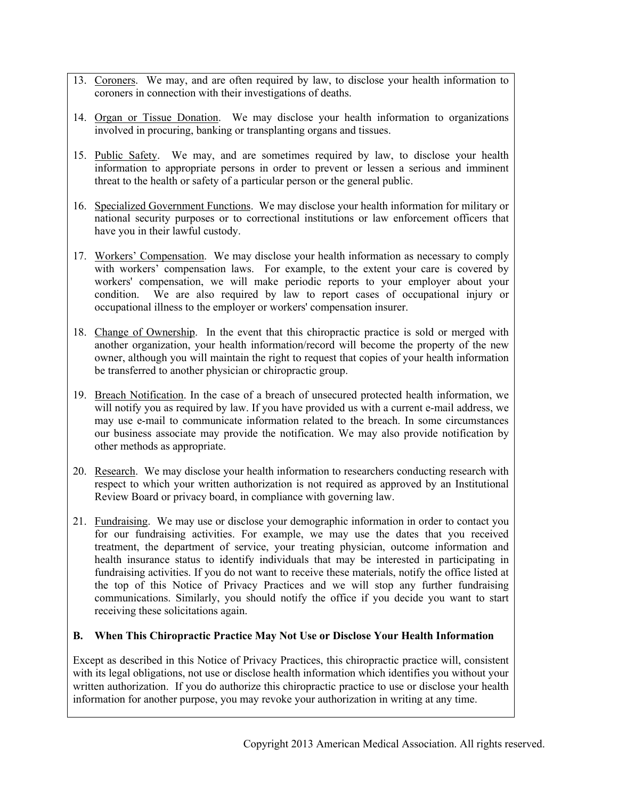- 13. Coroners. We may, and are often required by law, to disclose your health information to coroners in connection with their investigations of deaths.
- 14. Organ or Tissue Donation. We may disclose your health information to organizations involved in procuring, banking or transplanting organs and tissues.
- 15. Public Safety. We may, and are sometimes required by law, to disclose your health information to appropriate persons in order to prevent or lessen a serious and imminent threat to the health or safety of a particular person or the general public.
- 16. Specialized Government Functions. We may disclose your health information for military or national security purposes or to correctional institutions or law enforcement officers that have you in their lawful custody.
- 17. Workers' Compensation. We may disclose your health information as necessary to comply with workers' compensation laws. For example, to the extent your care is covered by workers' compensation, we will make periodic reports to your employer about your condition. We are also required by law to report cases of occupational injury or occupational illness to the employer or workers' compensation insurer.
- 18. Change of Ownership. In the event that this chiropractic practice is sold or merged with another organization, your health information/record will become the property of the new owner, although you will maintain the right to request that copies of your health information be transferred to another physician or chiropractic group.
- 19. Breach Notification. In the case of a breach of unsecured protected health information, we will notify you as required by law. If you have provided us with a current e-mail address, we may use e-mail to communicate information related to the breach. In some circumstances our business associate may provide the notification. We may also provide notification by other methods as appropriate.
- 20. Research. We may disclose your health information to researchers conducting research with respect to which your written authorization is not required as approved by an Institutional Review Board or privacy board, in compliance with governing law.
- 21. Fundraising. We may use or disclose your demographic information in order to contact you for our fundraising activities. For example, we may use the dates that you received treatment, the department of service, your treating physician, outcome information and health insurance status to identify individuals that may be interested in participating in fundraising activities. If you do not want to receive these materials, notify the office listed at the top of this Notice of Privacy Practices and we will stop any further fundraising communications. Similarly, you should notify the office if you decide you want to start receiving these solicitations again.

### **B. When This Chiropractic Practice May Not Use or Disclose Your Health Information**

Except as described in this Notice of Privacy Practices, this chiropractic practice will, consistent with its legal obligations, not use or disclose health information which identifies you without your written authorization. If you do authorize this chiropractic practice to use or disclose your health information for another purpose, you may revoke your authorization in writing at any time.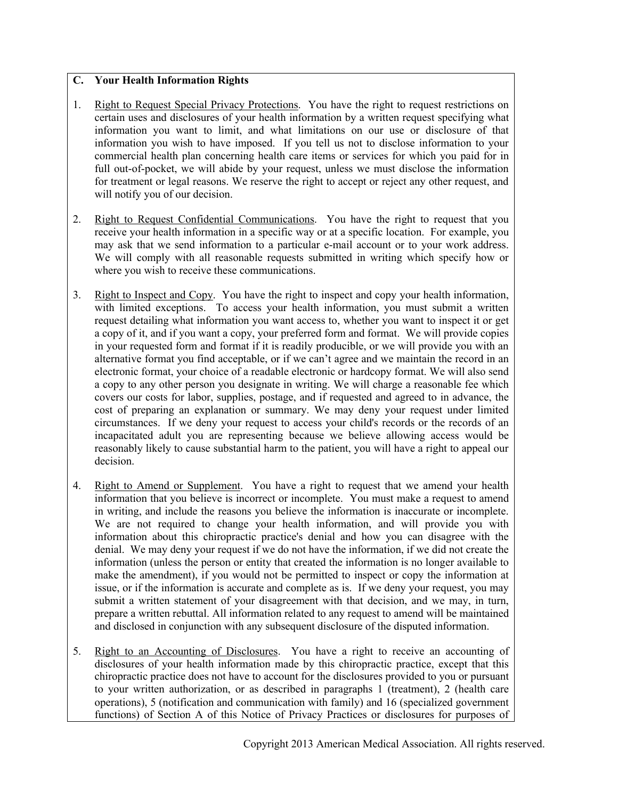## **C. Your Health Information Rights**

- 1. Right to Request Special Privacy Protections. You have the right to request restrictions on certain uses and disclosures of your health information by a written request specifying what information you want to limit, and what limitations on our use or disclosure of that information you wish to have imposed. If you tell us not to disclose information to your commercial health plan concerning health care items or services for which you paid for in full out-of-pocket, we will abide by your request, unless we must disclose the information for treatment or legal reasons. We reserve the right to accept or reject any other request, and will notify you of our decision.
- 2. Right to Request Confidential Communications. You have the right to request that you receive your health information in a specific way or at a specific location. For example, you may ask that we send information to a particular e-mail account or to your work address. We will comply with all reasonable requests submitted in writing which specify how or where you wish to receive these communications.
- 3. Right to Inspect and Copy. You have the right to inspect and copy your health information, with limited exceptions. To access your health information, you must submit a written request detailing what information you want access to, whether you want to inspect it or get a copy of it, and if you want a copy, your preferred form and format. We will provide copies in your requested form and format if it is readily producible, or we will provide you with an alternative format you find acceptable, or if we can't agree and we maintain the record in an electronic format, your choice of a readable electronic or hardcopy format. We will also send a copy to any other person you designate in writing. We will charge a reasonable fee which covers our costs for labor, supplies, postage, and if requested and agreed to in advance, the cost of preparing an explanation or summary. We may deny your request under limited circumstances. If we deny your request to access your child's records or the records of an incapacitated adult you are representing because we believe allowing access would be reasonably likely to cause substantial harm to the patient, you will have a right to appeal our decision.
- 4. Right to Amend or Supplement. You have a right to request that we amend your health information that you believe is incorrect or incomplete. You must make a request to amend in writing, and include the reasons you believe the information is inaccurate or incomplete. We are not required to change your health information, and will provide you with information about this chiropractic practice's denial and how you can disagree with the denial. We may deny your request if we do not have the information, if we did not create the information (unless the person or entity that created the information is no longer available to make the amendment), if you would not be permitted to inspect or copy the information at issue, or if the information is accurate and complete as is. If we deny your request, you may submit a written statement of your disagreement with that decision, and we may, in turn, prepare a written rebuttal. All information related to any request to amend will be maintained and disclosed in conjunction with any subsequent disclosure of the disputed information.
- 5. Right to an Accounting of Disclosures. You have a right to receive an accounting of disclosures of your health information made by this chiropractic practice, except that this chiropractic practice does not have to account for the disclosures provided to you or pursuant to your written authorization, or as described in paragraphs 1 (treatment), 2 (health care operations), 5 (notification and communication with family) and 16 (specialized government functions) of Section A of this Notice of Privacy Practices or disclosures for purposes of